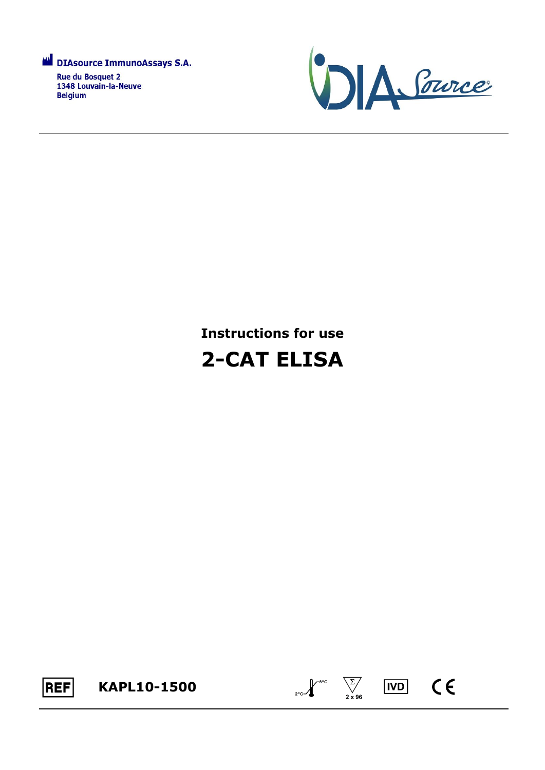

**Rue du Bosquet 2** 1348 Louvain-la-Neuve **Belgium** 



# **Instructions for use 2-CAT ELISA**





 $C \in$ 

**IVD**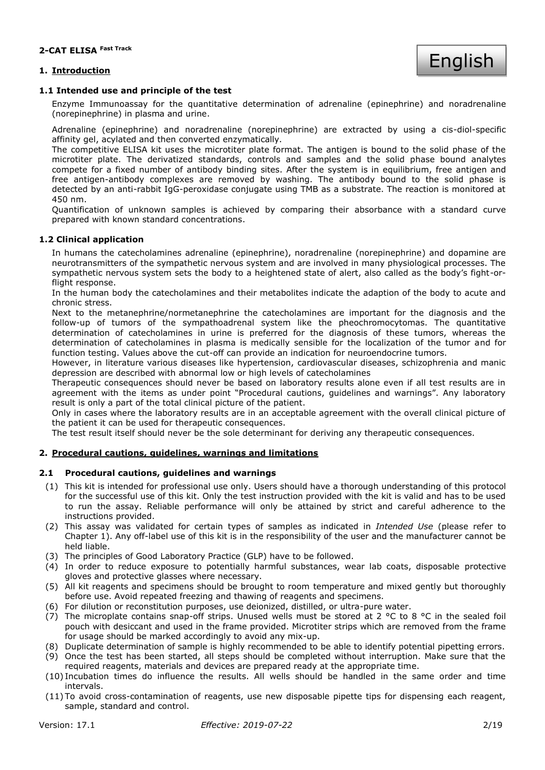#### **1. Introduction**



#### **1.1 Intended use and principle of the test**

Enzyme Immunoassay for the quantitative determination of adrenaline (epinephrine) and noradrenaline (norepinephrine) in plasma and urine.

Adrenaline (epinephrine) and noradrenaline (norepinephrine) are extracted by using a cis-diol-specific affinity gel, acylated and then converted enzymatically.

The competitive ELISA kit uses the microtiter plate format. The antigen is bound to the solid phase of the microtiter plate. The derivatized standards, controls and samples and the solid phase bound analytes compete for a fixed number of antibody binding sites. After the system is in equilibrium, free antigen and free antigen-antibody complexes are removed by washing. The antibody bound to the solid phase is detected by an anti-rabbit IgG-peroxidase conjugate using TMB as a substrate. The reaction is monitored at 450 nm.

Quantification of unknown samples is achieved by comparing their absorbance with a standard curve prepared with known standard concentrations.

#### **1.2 Clinical application**

In humans the catecholamines adrenaline (epinephrine), noradrenaline (norepinephrine) and dopamine are neurotransmitters of the sympathetic nervous system and are involved in many physiological processes. The sympathetic nervous system sets the body to a heightened state of alert, also called as the body's fight-orflight response.

In the human body the catecholamines and their metabolites indicate the adaption of the body to acute and chronic stress.

Next to the metanephrine/normetanephrine the catecholamines are important for the diagnosis and the follow-up of tumors of the sympathoadrenal system like the pheochromocytomas. The quantitative determination of catecholamines in urine is preferred for the diagnosis of these tumors, whereas the determination of catecholamines in plasma is medically sensible for the localization of the tumor and for function testing. Values above the cut-off can provide an indication for neuroendocrine tumors.

However, in literature various diseases like hypertension, cardiovascular diseases, schizophrenia and manic depression are described with abnormal low or high levels of catecholamines

Therapeutic consequences should never be based on laboratory results alone even if all test results are in agreement with the items as under point "Procedural cautions, guidelines and warnings". Any laboratory result is only a part of the total clinical picture of the patient.

Only in cases where the laboratory results are in an acceptable agreement with the overall clinical picture of the patient it can be used for therapeutic consequences.

The test result itself should never be the sole determinant for deriving any therapeutic consequences.

#### **2. Procedural cautions, guidelines, warnings and limitations**

#### **2.1 Procedural cautions, guidelines and warnings**

- (1) This kit is intended for professional use only. Users should have a thorough understanding of this protocol for the successful use of this kit. Only the test instruction provided with the kit is valid and has to be used to run the assay. Reliable performance will only be attained by strict and careful adherence to the instructions provided.
- (2) This assay was validated for certain types of samples as indicated in *Intended Use* (please refer to Chapter 1). Any off-label use of this kit is in the responsibility of the user and the manufacturer cannot be held liable.
- (3) The principles of Good Laboratory Practice (GLP) have to be followed.
- (4) In order to reduce exposure to potentially harmful substances, wear lab coats, disposable protective gloves and protective glasses where necessary.
- (5) All kit reagents and specimens should be brought to room temperature and mixed gently but thoroughly before use. Avoid repeated freezing and thawing of reagents and specimens.
- (6) For dilution or reconstitution purposes, use deionized, distilled, or ultra-pure water.
- (7) The microplate contains snap-off strips. Unused wells must be stored at 2  $\degree$ C to 8  $\degree$ C in the sealed foil pouch with desiccant and used in the frame provided. Microtiter strips which are removed from the frame for usage should be marked accordingly to avoid any mix-up.
- (8) Duplicate determination of sample is highly recommended to be able to identify potential pipetting errors.
- (9) Once the test has been started, all steps should be completed without interruption. Make sure that the required reagents, materials and devices are prepared ready at the appropriate time.
- (10) Incubation times do influence the results. All wells should be handled in the same order and time intervals.
- (11) To avoid cross-contamination of reagents, use new disposable pipette tips for dispensing each reagent, sample, standard and control.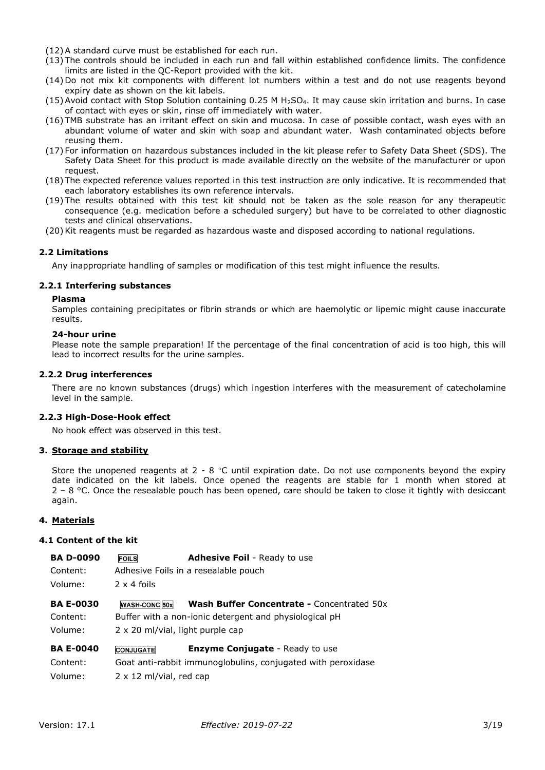- (12) A standard curve must be established for each run.
- (13) The controls should be included in each run and fall within established confidence limits. The confidence limits are listed in the QC-Report provided with the kit.
- (14) Do not mix kit components with different lot numbers within a test and do not use reagents beyond expiry date as shown on the kit labels.
- (15) Avoid contact with Stop Solution containing 0.25 M  $H_2$ SO<sub>4</sub>. It may cause skin irritation and burns. In case of contact with eyes or skin, rinse off immediately with water.
- (16) TMB substrate has an irritant effect on skin and mucosa. In case of possible contact, wash eyes with an abundant volume of water and skin with soap and abundant water. Wash contaminated objects before reusing them.
- (17) For information on hazardous substances included in the kit please refer to Safety Data Sheet (SDS). The Safety Data Sheet for this product is made available directly on the website of the manufacturer or upon request.
- (18) The expected reference values reported in this test instruction are only indicative. It is recommended that each laboratory establishes its own reference intervals.
- (19) The results obtained with this test kit should not be taken as the sole reason for any therapeutic consequence (e.g. medication before a scheduled surgery) but have to be correlated to other diagnostic tests and clinical observations.
- (20) Kit reagents must be regarded as hazardous waste and disposed according to national regulations.

#### **2.2 Limitations**

Any inappropriate handling of samples or modification of this test might influence the results.

#### **2.2.1 Interfering substances**

#### **Plasma**

Samples containing precipitates or fibrin strands or which are haemolytic or lipemic might cause inaccurate results.

#### **24-hour urine**

Please note the sample preparation! If the percentage of the final concentration of acid is too high, this will lead to incorrect results for the urine samples.

#### **2.2.2 Drug interferences**

There are no known substances (drugs) which ingestion interferes with the measurement of catecholamine level in the sample.

#### **2.2.3 High-Dose-Hook effect**

No hook effect was observed in this test.

#### **3. Storage and stability**

Store the unopened reagents at  $2 - 8$  °C until expiration date. Do not use components beyond the expiry date indicated on the kit labels. Once opened the reagents are stable for 1 month when stored at  $2 - 8$  °C. Once the resealable pouch has been opened, care should be taken to close it tightly with desiccant again.

#### **4. Materials**

#### **4.1 Content of the kit**

| <b>BA D-0090</b> | <b>FOILS</b>                     | <b>Adhesive Foil</b> - Ready to use                          |  |  |  |  |
|------------------|----------------------------------|--------------------------------------------------------------|--|--|--|--|
| Content:         |                                  | Adhesive Foils in a resealable pouch                         |  |  |  |  |
| Volume:          | $2 \times 4$ foils               |                                                              |  |  |  |  |
| <b>BA E-0030</b> | <b>WASH-CONC 50x</b>             | <b>Wash Buffer Concentrate - Concentrated 50x</b>            |  |  |  |  |
| Content:         |                                  | Buffer with a non-ionic detergent and physiological pH       |  |  |  |  |
| Volume:          | 2 x 20 ml/vial, light purple cap |                                                              |  |  |  |  |
| <b>BA E-0040</b> | <b>CONJUGATE</b>                 | <b>Enzyme Conjugate</b> - Ready to use                       |  |  |  |  |
| Content:         |                                  | Goat anti-rabbit immunoglobulins, conjugated with peroxidase |  |  |  |  |

Volume: 2 x 12 ml/vial, red cap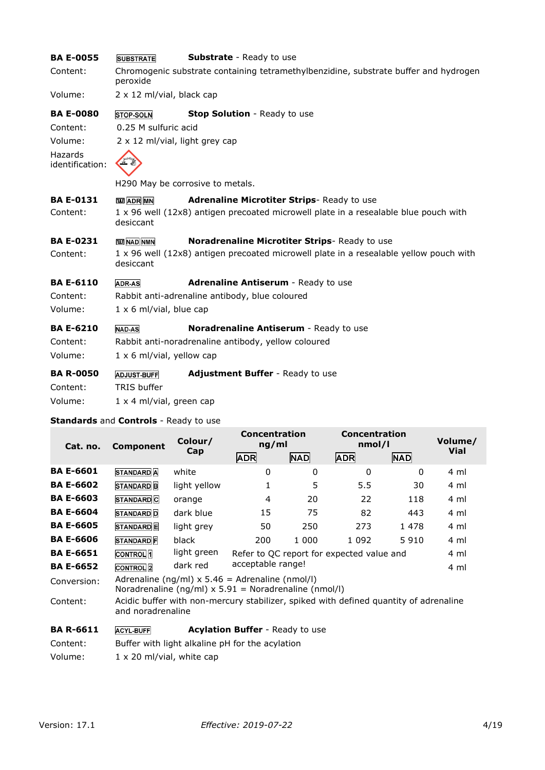| <b>BA E-0055</b>             | <b>SUBSTRATE</b>                         | <b>Substrate</b> - Ready to use                                                        |
|------------------------------|------------------------------------------|----------------------------------------------------------------------------------------|
| Content:                     | peroxide                                 | Chromogenic substrate containing tetramethylbenzidine, substrate buffer and hydrogen   |
| Volume:                      | 2 x 12 ml/vial, black cap                |                                                                                        |
| <b>BA E-0080</b>             | <b>STOP-SOLN</b>                         | Stop Solution - Ready to use                                                           |
| Content:                     | 0.25 M sulfuric acid                     |                                                                                        |
| Volume:                      | 2 x 12 ml/vial, light grey cap           |                                                                                        |
| Hazards<br>identification:   |                                          |                                                                                        |
|                              |                                          | H290 May be corrosive to metals.                                                       |
| <b>BA E-0131</b>             | <b>TED</b> ADR MN                        | Adrenaline Microtiter Strips-Ready to use                                              |
| Content:                     | desiccant                                | 1 x 96 well (12x8) antigen precoated microwell plate in a resealable blue pouch with   |
| <b>BA E-0231</b>             | <b>ME NAD NMN</b>                        | Noradrenaline Microtiter Strips-Ready to use                                           |
| Content:                     | desiccant                                | 1 x 96 well (12x8) antigen precoated microwell plate in a resealable yellow pouch with |
| <b>BA E-6110</b>             | <b>ADR-AS</b>                            | Adrenaline Antiserum - Ready to use                                                    |
| Content:                     |                                          | Rabbit anti-adrenaline antibody, blue coloured                                         |
| Volume:                      | $1 \times 6$ ml/vial, blue cap           |                                                                                        |
| <b>BA E-6210</b>             | <b>NAD-AS</b>                            | Noradrenaline Antiserum - Ready to use                                                 |
| Content:                     |                                          | Rabbit anti-noradrenaline antibody, yellow coloured                                    |
| Volume:                      | $1 \times 6$ ml/vial, yellow cap         |                                                                                        |
| <b>BA R-0050</b><br>Content: | <b>ADJUST-BUFF</b><br><b>TRIS buffer</b> | Adjustment Buffer - Ready to use                                                       |
|                              |                                          |                                                                                        |

## **Standards** and **Controls** - Ready to use

| Cat. no.         | <b>Component</b>                                                                                           | Colour/                                                                                                      | <b>Concentration</b><br>ng/ml          |            | <b>Concentration</b><br>nmol/l            |            | Volume/<br><b>Vial</b> |
|------------------|------------------------------------------------------------------------------------------------------------|--------------------------------------------------------------------------------------------------------------|----------------------------------------|------------|-------------------------------------------|------------|------------------------|
|                  |                                                                                                            | Cap                                                                                                          | <b>ADR</b>                             | <b>NAD</b> | <b>ADR</b>                                | <b>NAD</b> |                        |
| <b>BA E-6601</b> | <b>STANDARD</b> A                                                                                          | white                                                                                                        | 0                                      | $\Omega$   | $\Omega$                                  | $\Omega$   | 4 ml                   |
| <b>BA E-6602</b> | <b>STANDARD</b> B                                                                                          | light yellow                                                                                                 | 1                                      | 5          | 5.5                                       | 30         | 4 ml                   |
| <b>BA E-6603</b> | STANDARD <sub>C</sub>                                                                                      | orange                                                                                                       | 4                                      | 20         | 22                                        | 118        | 4 ml                   |
| <b>BA E-6604</b> | <b>STANDARD</b> D                                                                                          | dark blue                                                                                                    | 15                                     | 75         | 82                                        | 443        | 4 ml                   |
| <b>BA E-6605</b> | STANDARD <sup>E</sup>                                                                                      | light grey                                                                                                   | 50                                     | 250        | 273                                       | 1478       | 4 ml                   |
| <b>BA E-6606</b> | <b>STANDARD</b> F                                                                                          | black                                                                                                        | 200                                    | 1 000      | 1 0 9 2                                   | 5910       | 4 ml                   |
| <b>BA E-6651</b> | <b>CONTROL</b> 1                                                                                           | light green                                                                                                  |                                        |            | Refer to QC report for expected value and |            | 4 ml                   |
| <b>BA E-6652</b> | <b>CONTROL</b> <sub>2</sub>                                                                                | dark red                                                                                                     | acceptable range!                      |            |                                           |            | 4 ml                   |
| Conversion:      |                                                                                                            | Adrenaline (ng/ml) $x$ 5.46 = Adrenaline (nmol/l)<br>Noradrenaline (ng/ml) $x$ 5.91 = Noradrenaline (nmol/l) |                                        |            |                                           |            |                        |
| Content:         | Acidic buffer with non-mercury stabilizer, spiked with defined quantity of adrenaline<br>and noradrenaline |                                                                                                              |                                        |            |                                           |            |                        |
| <b>BA R-6611</b> | <b>ACYL-BUFF</b>                                                                                           |                                                                                                              | <b>Acylation Buffer - Ready to use</b> |            |                                           |            |                        |
| Content:         |                                                                                                            | Buffer with light alkaline pH for the acylation                                                              |                                        |            |                                           |            |                        |
| Volume:          | $1 \times 20$ ml/vial, white cap                                                                           |                                                                                                              |                                        |            |                                           |            |                        |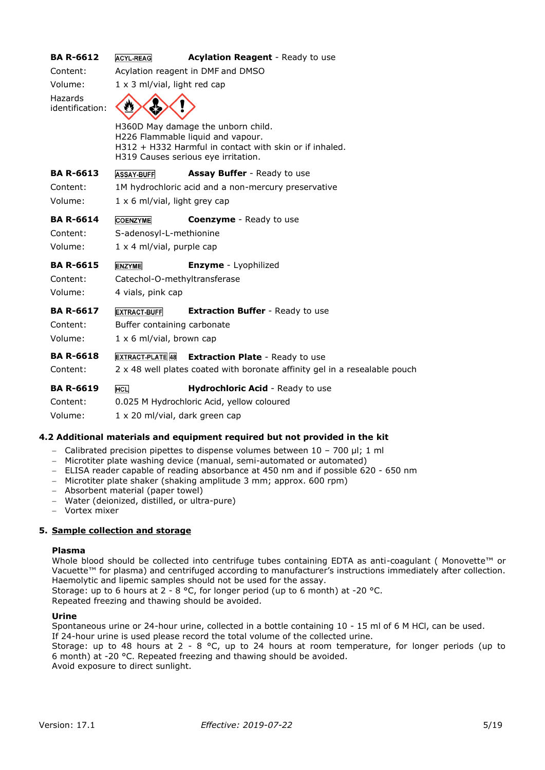| <b>ACYL-REAG</b>                     | Acylation Reagent - Ready to use                                                                                                                                          |  |  |  |
|--------------------------------------|---------------------------------------------------------------------------------------------------------------------------------------------------------------------------|--|--|--|
| Acylation reagent in DMF and DMSO    |                                                                                                                                                                           |  |  |  |
| $1 \times 3$ ml/vial, light red cap  |                                                                                                                                                                           |  |  |  |
|                                      |                                                                                                                                                                           |  |  |  |
|                                      | H360D May damage the unborn child.<br>H226 Flammable liquid and vapour.<br>H312 + H332 Harmful in contact with skin or if inhaled.<br>H319 Causes serious eye irritation. |  |  |  |
| <b>ASSAY-BUFF</b>                    | Assay Buffer - Ready to use                                                                                                                                               |  |  |  |
|                                      | 1M hydrochloric acid and a non-mercury preservative                                                                                                                       |  |  |  |
| $1 \times 6$ ml/vial, light grey cap |                                                                                                                                                                           |  |  |  |
| <b>COENZYME</b>                      | <b>Coenzyme</b> - Ready to use                                                                                                                                            |  |  |  |
| S-adenosyl-L-methionine              |                                                                                                                                                                           |  |  |  |
| $1 \times 4$ ml/vial, purple cap     |                                                                                                                                                                           |  |  |  |
| <b>ENZYME</b>                        | <b>Enzyme</b> - Lyophilized                                                                                                                                               |  |  |  |
| Catechol-O-methyltransferase         |                                                                                                                                                                           |  |  |  |
| 4 vials, pink cap                    |                                                                                                                                                                           |  |  |  |
| <b>EXTRACT-BUFF</b>                  | <b>Extraction Buffer - Ready to use</b>                                                                                                                                   |  |  |  |
| Buffer containing carbonate          |                                                                                                                                                                           |  |  |  |
| $1 \times 6$ ml/vial, brown cap      |                                                                                                                                                                           |  |  |  |
| EXTRACT-PLATE 48                     | <b>Extraction Plate - Ready to use</b>                                                                                                                                    |  |  |  |
|                                      | 2 x 48 well plates coated with boronate affinity gel in a resealable pouch                                                                                                |  |  |  |
| <b>HCL</b>                           | Hydrochloric Acid - Ready to use                                                                                                                                          |  |  |  |
|                                      | 0.025 M Hydrochloric Acid, yellow coloured                                                                                                                                |  |  |  |
| 1 x 20 ml/vial, dark green cap       |                                                                                                                                                                           |  |  |  |
|                                      |                                                                                                                                                                           |  |  |  |

#### **4.2 Additional materials and equipment required but not provided in the kit**

- − Calibrated precision pipettes to dispense volumes between 10 700 µl; 1 ml
- − Microtiter plate washing device (manual, semi-automated or automated)
- − ELISA reader capable of reading absorbance at 450 nm and if possible 620 650 nm
- − Microtiter plate shaker (shaking amplitude 3 mm; approx. 600 rpm)
- − Absorbent material (paper towel)
- − Water (deionized, distilled, or ultra-pure)
- − Vortex mixer

#### **5. Sample collection and storage**

#### **Plasma**

Whole blood should be collected into centrifuge tubes containing EDTA as anti-coagulant ( Monovette™ or Vacuette™ for plasma) and centrifuged according to manufacturer's instructions immediately after collection. Haemolytic and lipemic samples should not be used for the assay. Storage: up to 6 hours at 2 - 8 °C, for longer period (up to 6 month) at -20 °C. Repeated freezing and thawing should be avoided.

#### **Urine**

Spontaneous urine or 24-hour urine, collected in a bottle containing 10 - 15 ml of 6 M HCl, can be used. If 24-hour urine is used please record the total volume of the collected urine. Storage: up to 48 hours at 2 - 8 °C, up to 24 hours at room temperature, for longer periods (up to 6 month) at -20 °C. Repeated freezing and thawing should be avoided. Avoid exposure to direct sunlight.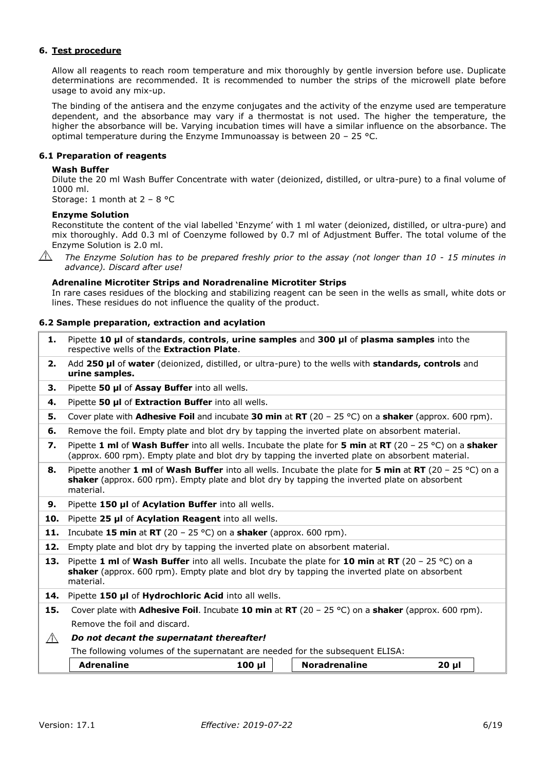#### **6. Test procedure**

Allow all reagents to reach room temperature and mix thoroughly by gentle inversion before use. Duplicate determinations are recommended. It is recommended to number the strips of the microwell plate before usage to avoid any mix-up.

The binding of the antisera and the enzyme conjugates and the activity of the enzyme used are temperature dependent, and the absorbance may vary if a thermostat is not used. The higher the temperature, the higher the absorbance will be. Varying incubation times will have a similar influence on the absorbance. The optimal temperature during the Enzyme Immunoassay is between  $20 - 25$  °C.

#### **6.1 Preparation of reagents**

#### **Wash Buffer**

Dilute the 20 ml Wash Buffer Concentrate with water (deionized, distilled, or ultra-pure) to a final volume of 1000 ml.

Storage: 1 month at 2 – 8 °C

#### **Enzyme Solution**

Reconstitute the content of the vial labelled 'Enzyme' with 1 ml water (deionized, distilled, or ultra-pure) and mix thoroughly. Add 0.3 ml of Coenzyme followed by 0.7 ml of Adjustment Buffer. The total volume of the Enzyme Solution is 2.0 ml.



*The Enzyme Solution has to be prepared freshly prior to the assay (not longer than 10 - 15 minutes in advance). Discard after use!*

#### **Adrenaline Microtiter Strips and Noradrenaline Microtiter Strips**

In rare cases residues of the blocking and stabilizing reagent can be seen in the wells as small, white dots or lines. These residues do not influence the quality of the product.

#### **6.2 Sample preparation, extraction and acylation**

- **1.** Pipette **10 µl** of **standards**, **controls**, **urine samples** and **300 µl** of **plasma samples** into the respective wells of the **Extraction Plate**.
- **2.** Add **250 µl** of **water** (deionized, distilled, or ultra-pure) to the wells with **standards, controls** and **urine samples.**
- **3.** Pipette **50 µl** of **Assay Buffer** into all wells.
- **4.** Pipette **50 µl** of **Extraction Buffer** into all wells.
- **5.** Cover plate with **Adhesive Foil** and incubate **30 min** at **RT** (20 25 °C) on a **shaker** (approx. 600 rpm).
- **6.** Remove the foil. Empty plate and blot dry by tapping the inverted plate on absorbent material.
- **7.** Pipette **1 ml** of **Wash Buffer** into all wells. Incubate the plate for **5 min** at **RT** (20 25 °C) on a **shaker** (approx. 600 rpm). Empty plate and blot dry by tapping the inverted plate on absorbent material.
- **8.** Pipette another **1 ml** of **Wash Buffer** into all wells. Incubate the plate for **5 min** at **RT** (20 25 °C) on a **shaker** (approx. 600 rpm). Empty plate and blot dry by tapping the inverted plate on absorbent material.
- **9.** Pipette **150 µl** of **Acylation Buffer** into all wells.
- **10.** Pipette **25 µl** of **Acylation Reagent** into all wells.
- **11.** Incubate **15 min** at **RT** (20 25 °C) on a **shaker** (approx. 600 rpm).
- **12.** Empty plate and blot dry by tapping the inverted plate on absorbent material.
- **13.** Pipette **1 ml** of **Wash Buffer** into all wells. Incubate the plate for **10 min** at **RT** (20 25 °C) on a **shaker** (approx. 600 rpm). Empty plate and blot dry by tapping the inverted plate on absorbent material.
- **14.** Pipette **150 µl** of **Hydrochloric Acid** into all wells.
- **15.** Cover plate with **Adhesive Foil**. Incubate **10 min** at **RT** (20 25 °C) on a **shaker** (approx. 600 rpm). Remove the foil and discard.

#### *Do not decant the supernatant thereafter!*  $\bigwedge$

The following volumes of the supernatant are needed for the subsequent ELISA:

| <b>Adrenaline</b> | 100<br>ш | <b>Noradrenaline</b> | 20<br>п |  |
|-------------------|----------|----------------------|---------|--|
|                   |          |                      |         |  |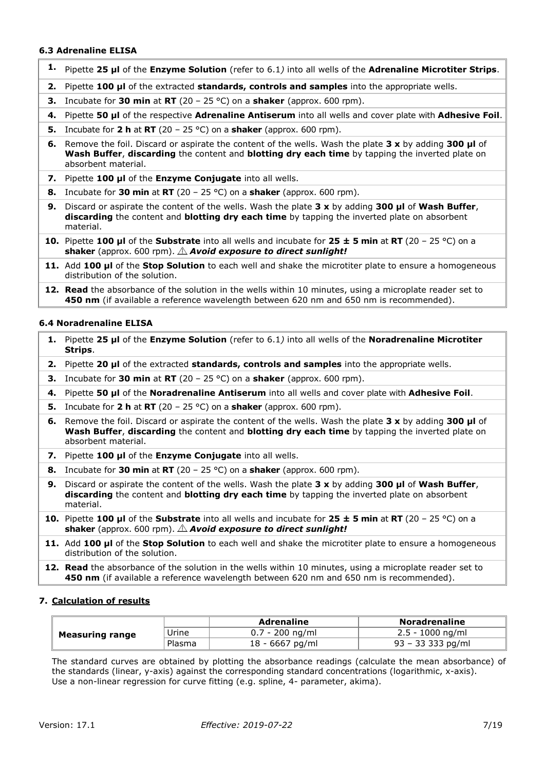#### **6.3 Adrenaline ELISA**

- **1.** Pipette **25 µl** of the **Enzyme Solution** (refer to 6.1*)* into all wells of the **Adrenaline Microtiter Strips**.
- **2.** Pipette **100 µl** of the extracted **standards, controls and samples** into the appropriate wells.
- **3.** Incubate for **30 min** at **RT** (20 25 °C) on a **shaker** (approx. 600 rpm).
- **4.** Pipette **50 µl** of the respective **Adrenaline Antiserum** into all wells and cover plate with **Adhesive Foil**.
- **5.** Incubate for **2 h** at **RT** (20 25 °C) on a **shaker** (approx. 600 rpm).
- **6.** Remove the foil. Discard or aspirate the content of the wells. Wash the plate **3 x** by adding **300 µl** of **Wash Buffer**, **discarding** the content and **blotting dry each time** by tapping the inverted plate on absorbent material.
- **7.** Pipette **100 µl** of the **Enzyme Conjugate** into all wells.
- **8.** Incubate for **30 min** at **RT** (20 25 °C) on a **shaker** (approx. 600 rpm).
- **9.** Discard or aspirate the content of the wells. Wash the plate **3 x** by adding **300 µl** of **Wash Buffer**, **discarding** the content and **blotting dry each time** by tapping the inverted plate on absorbent material.
- **10.** Pipette **100 µl** of the **Substrate** into all wells and incubate for **25 ± 5 min** at **RT** (20 25 °C) on a shaker (approx. 600 rpm).  $\triangle$  **Avoid exposure to direct sunlight!**
- **11.** Add **100 µl** of the **Stop Solution** to each well and shake the microtiter plate to ensure a homogeneous distribution of the solution.
- **12. Read** the absorbance of the solution in the wells within 10 minutes, using a microplate reader set to **450 nm** (if available a reference wavelength between 620 nm and 650 nm is recommended).

#### **6.4 Noradrenaline ELISA**

- **1.** Pipette **25 µl** of the **Enzyme Solution** (refer to 6.1*)* into all wells of the **Noradrenaline Microtiter Strips**.
- **2.** Pipette **20 µl** of the extracted **standards, controls and samples** into the appropriate wells.
- **3.** Incubate for **30 min** at **RT** (20 25 °C) on a **shaker** (approx. 600 rpm).
- **4.** Pipette **50 µl** of the **Noradrenaline Antiserum** into all wells and cover plate with **Adhesive Foil**.
- **5.** Incubate for **2 h** at **RT** (20 25 °C) on a **shaker** (approx. 600 rpm).
- **6.** Remove the foil. Discard or aspirate the content of the wells. Wash the plate **3 x** by adding **300 µl** of **Wash Buffer**, **discarding** the content and **blotting dry each time** by tapping the inverted plate on absorbent material.
- **7.** Pipette **100 µl** of the **Enzyme Conjugate** into all wells.
- **8.** Incubate for **30 min** at **RT** (20 25 °C) on a **shaker** (approx. 600 rpm).
- **9.** Discard or aspirate the content of the wells. Wash the plate **3 x** by adding **300 µl** of **Wash Buffer**, **discarding** the content and **blotting dry each time** by tapping the inverted plate on absorbent material.
- **10.** Pipette **100 µl** of the **Substrate** into all wells and incubate for **25 ± 5 min** at **RT** (20 25 °C) on a shaker (approx. 600 rpm).  $\triangle$  **Avoid exposure to direct sunlight!**
- **11.** Add **100 µl** of the **Stop Solution** to each well and shake the microtiter plate to ensure a homogeneous distribution of the solution.
- **12. Read** the absorbance of the solution in the wells within 10 minutes, using a microplate reader set to **450 nm** (if available a reference wavelength between 620 nm and 650 nm is recommended).

#### **7. Calculation of results**

| <b>Measuring range</b> |        | <b>Adrenaline</b> | <b>Noradrenaline</b> |
|------------------------|--------|-------------------|----------------------|
|                        | Urine  | $0.7 - 200$ ng/ml | $2.5 - 1000$ ng/ml   |
|                        | Plasma | $18 - 6667$ pg/ml | 93 – 33 333 pg/ml    |

The standard curves are obtained by plotting the absorbance readings (calculate the mean absorbance) of the standards (linear, y-axis) against the corresponding standard concentrations (logarithmic, x-axis). Use a non-linear regression for curve fitting (e.g. spline, 4- parameter, akima).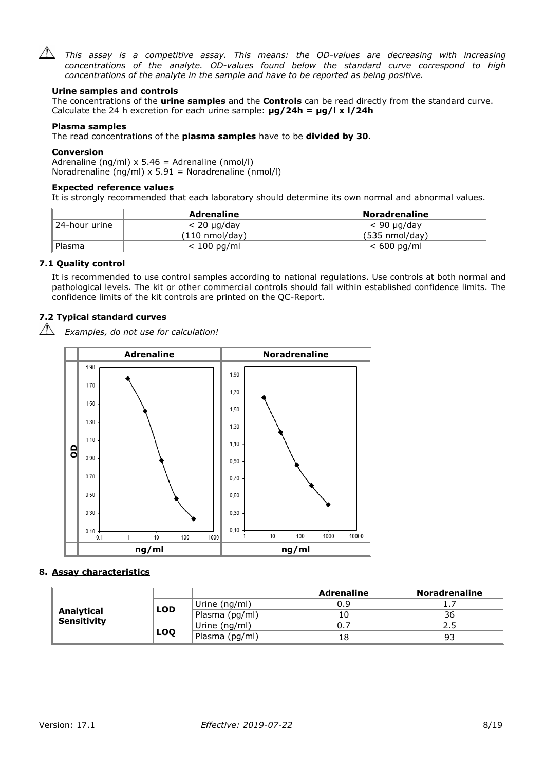

 $\sqrt{N}$  This assay is a competitive assay. This means: the OD-values are decreasing with increasing *concentrations of the analyte. OD-values found below the standard curve correspond to high concentrations of the analyte in the sample and have to be reported as being positive.*

#### **Urine samples and controls**

The concentrations of the **urine samples** and the **Controls** can be read directly from the standard curve. Calculate the 24 h excretion for each urine sample: **µg/24h = µg/l x l/24h**

#### **Plasma samples**

The read concentrations of the **plasma samples** have to be **divided by 30.**

#### **Conversion**

Adrenaline (ng/ml)  $x$  5.46 = Adrenaline (nmol/l) Noradrenaline (ng/ml)  $x$  5.91 = Noradrenaline (nmol/l)

#### **Expected reference values**

It is strongly recommended that each laboratory should determine its own normal and abnormal values.

|                | <b>Adrenaline</b>        | <b>Noradrenaline</b>     |
|----------------|--------------------------|--------------------------|
| ∥24-hour urine | $< 20 \mu q/day$         | $< 90 \mu g/day$         |
|                | $(110 \text{ nmol/day})$ | $(535 \text{ nmol/day})$ |
| ' Plasma       | $< 100$ pg/ml            | $< 600$ pg/ml            |

#### **7.1 Quality control**

 $\sqrt{N}$ 

It is recommended to use control samples according to national regulations. Use controls at both normal and pathological levels. The kit or other commercial controls should fall within established confidence limits. The confidence limits of the kit controls are printed on the QC-Report.

### **7.2 Typical standard curves**

*Examples, do not use for calculation!*



#### **8. Assay characteristics**

|                                  |            |                | <b>Adrenaline</b> | <b>Noradrenaline</b> |
|----------------------------------|------------|----------------|-------------------|----------------------|
|                                  | <b>LOD</b> | Urine (ng/ml)  | 0.9               |                      |
| Analytical<br><b>Sensitivity</b> |            | Plasma (pg/ml) | 10                | 36                   |
|                                  |            | Urine (ng/ml)  | υ.,               | 2.5                  |
|                                  | LOQ        | Plasma (pg/ml) | 18                | 93                   |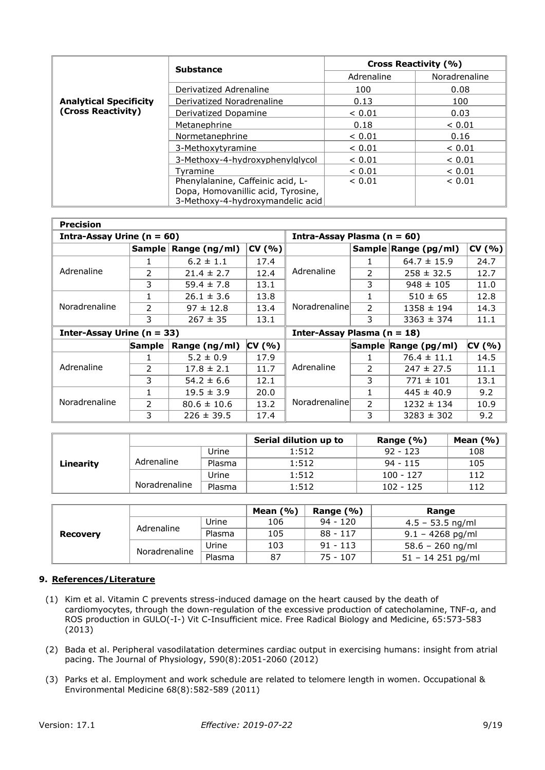|                               | <b>Substance</b>                   | Cross Reactivity (%) |               |  |
|-------------------------------|------------------------------------|----------------------|---------------|--|
|                               |                                    | Adrenaline           | Noradrenaline |  |
|                               | Derivatized Adrenaline             | 100                  | 0.08          |  |
| <b>Analytical Specificity</b> | Derivatized Noradrenaline          | 0.13                 | 100           |  |
| (Cross Reactivity)            | Derivatized Dopamine               | ${}< 0.01$           | 0.03          |  |
|                               | Metanephrine                       | 0.18                 | ${}< 0.01$    |  |
|                               | Normetanephrine                    | ${}< 0.01$           | 0.16          |  |
|                               | 3-Methoxytyramine                  | ${}< 0.01$           | ${}< 0.01$    |  |
|                               | 3-Methoxy-4-hydroxyphenylglycol    | ${}< 0.01$           | ${}< 0.01$    |  |
|                               | Tvramine                           | ${}_{0.01}$          | < 0.01        |  |
|                               | Phenylalanine, Caffeinic acid, L-  |                      | < 0.01        |  |
|                               | Dopa, Homovanillic acid, Tyrosine, |                      |               |  |
|                               | 3-Methoxy-4-hydroxymandelic acid   |                      |               |  |

| <b>Precision</b>               |               |                      |        |                                 |                |                      |        |
|--------------------------------|---------------|----------------------|--------|---------------------------------|----------------|----------------------|--------|
| Intra-Assay Urine ( $n = 60$ ) |               |                      |        | Intra-Assay Plasma ( $n = 60$ ) |                |                      |        |
|                                |               | Sample Range (ng/ml) | CV(% ) |                                 |                | Sample Range (pg/ml) | CV(% ) |
|                                |               | $6.2 \pm 1.1$        | 17.4   |                                 | 1.             | $64.7 \pm 15.9$      | 24.7   |
| Adrenaline                     | $\mathcal{P}$ | $21.4 \pm 2.7$       | 12.4   | Adrenaline                      | 2              | $258 \pm 32.5$       | 12.7   |
|                                | 3             | $59.4 \pm 7.8$       | 13.1   |                                 | 3              | $948 \pm 105$        | 11.0   |
|                                |               | $26.1 \pm 3.6$       | 13.8   | Noradrenaline                   | 1              | $510 \pm 65$         | 12.8   |
| Noradrenaline                  | $\mathcal{P}$ | $97 \pm 12.8$        | 13.4   |                                 | 2              | $1358 \pm 194$       | 14.3   |
|                                | 3             | $267 \pm 35$         | 13.1   |                                 | 3              | $3363 \pm 374$       | 11.1   |
| Inter-Assay Urine ( $n = 33$ ) |               |                      |        | Inter-Assay Plasma $(n = 18)$   |                |                      |        |
|                                | <b>Sample</b> | Range (ng/ml)        | CV(% ) |                                 |                | Sample Range (pg/ml) | CV(% ) |
|                                |               | $5.2 \pm 0.9$        | 17.9   |                                 | 1              | $76.4 \pm 11.1$      | 14.5   |
| Adrenaline                     | $\mathcal{P}$ | $17.8 \pm 2.1$       | 11.7   | Adrenaline                      | $\mathcal{P}$  | $247 \pm 27.5$       | 11.1   |
|                                | 3             | $54.2 \pm 6.6$       | 12.1   |                                 | 3              | $771 \pm 101$        | 13.1   |
| Noradrenaline                  |               | $19.5 \pm 3.9$       | 20.0   |                                 | 1              | $445 \pm 40.9$       | 9.2    |
|                                | $\mathcal{P}$ | $80.6 \pm 10.6$      | 13.2   | Noradrenaline                   | $\overline{2}$ | $1232 \pm 134$       | 10.9   |
|                                | 3             | $226 \pm 39.5$       | 17.4   |                                 | 3              | $3283 \pm 302$       | 9.2    |

|           |               |        | Serial dilution up to | Range $(\% )$ | Mean $(% )$ |
|-----------|---------------|--------|-----------------------|---------------|-------------|
|           |               | Urine  | 1:512                 | $92 - 123$    | 108         |
| Linearity | Adrenaline    | Plasma | 1:512                 | $94 - 115$    | 105         |
|           |               | Urine  | 1:512                 | $100 - 127$   | 112         |
|           | Noradrenaline | Plasma | 1:512                 | $102 - 125$   | 112         |

|                 |               |        | Mean $(\%)$ | Range $(% )$ | Range               |
|-----------------|---------------|--------|-------------|--------------|---------------------|
| <b>Recovery</b> | Adrenaline    | Urine  | 106         | $94 - 120$   | $4.5 - 53.5$ ng/ml  |
|                 |               | Plasma | 105         | $88 - 117$   | $9.1 - 4268$ pg/ml  |
|                 | Noradrenaline | Urine  | 103         | $91 - 113$   | $58.6 - 260$ ng/ml  |
|                 |               | Plasma | 87          | $75 - 107$   | $51 - 14$ 251 pg/ml |

#### **9. References/Literature**

- (1) Kim et al. Vitamin C prevents stress-induced damage on the heart caused by the death of cardiomyocytes, through the down-regulation of the excessive production of catecholamine, TNF-α, and ROS production in GULO(-I-) Vit C-Insufficient mice. Free Radical Biology and Medicine, 65:573-583 (2013)
- (2) Bada et al. Peripheral vasodilatation determines cardiac output in exercising humans: insight from atrial pacing. The Journal of Physiology, 590(8):2051-2060 (2012)
- (3) Parks et al. Employment and work schedule are related to telomere length in women. Occupational & Environmental Medicine 68(8):582-589 (2011)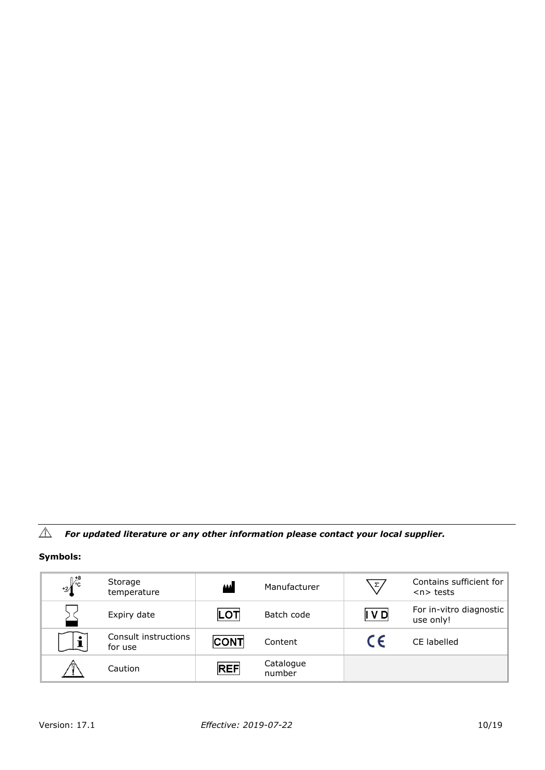#### $\triangle$ *For updated literature or any other information please contact your local supplier.*

# **Symbols:**

| $+2\int_{c}^{+8}$ | Storage<br>temperature          | أممم        | Manufacturer        | $\Sigma$   | Contains sufficient for<br>$n$ tests |
|-------------------|---------------------------------|-------------|---------------------|------------|--------------------------------------|
|                   | Expiry date                     | LOT         | Batch code          | IVD        | For in-vitro diagnostic<br>use only! |
|                   | Consult instructions<br>for use | <b>CONT</b> | Content             | $\epsilon$ | CE labelled                          |
|                   | Caution                         | <b>REF</b>  | Catalogue<br>number |            |                                      |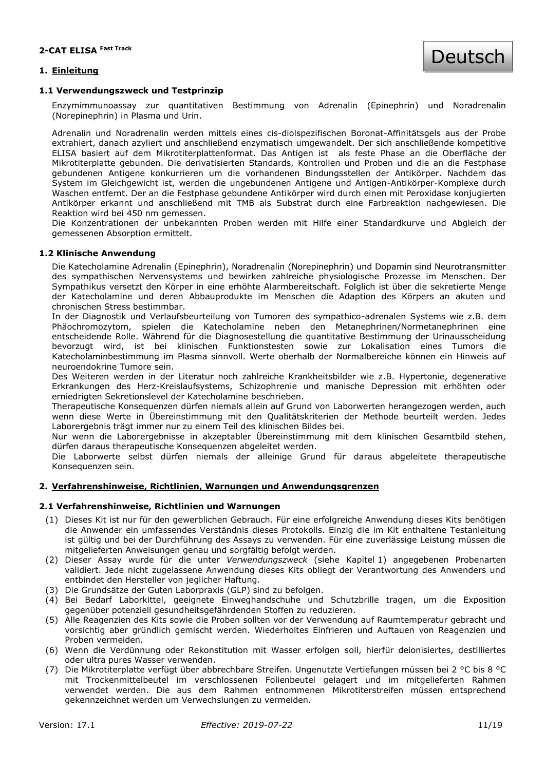#### **1. Einleitung**

#### **1.1 Verwendungszweck und Testprinzip**

Enzymimmunoassay zur quantitativen Bestimmung von Adrenalin (Epinephrin) und Noradrenalin (Norepinephrin) in Plasma und Urin.

Adrenalin und Noradrenalin werden mittels eines cis-diolspezifischen Boronat-Affinitätsgels aus der Probe extrahiert, danach azyliert und anschließend enzymatisch umgewandelt. Der sich anschließende kompetitive ELISA basiert auf dem Mikrotiterplattenformat. Das Antigen ist als feste Phase an die Oberfläche der Mikrotiterplatte gebunden. Die derivatisierten Standards, Kontrollen und Proben und die an die Festphase gebundenen Antigene konkurrieren um die vorhandenen Bindungsstellen der Antikörper. Nachdem das System im Gleichgewicht ist, werden die ungebundenen Antigene und Antigen-Antikörper-Komplexe durch Waschen entfernt. Der an die Festphase gebundene Antikörper wird durch einen mit Peroxidase konjugierten Antikörper erkannt und anschließend mit TMB als Substrat durch eine Farbreaktion nachgewiesen. Die Reaktion wird bei 450 nm gemessen.

Die Konzentrationen der unbekannten Proben werden mit Hilfe einer Standardkurve und Abgleich der gemessenen Absorption ermittelt.

#### **1.2 Klinische Anwendung**

Die Katecholamine Adrenalin (Epinephrin), Noradrenalin (Norepinephrin) und Dopamin sind Neurotransmitter des sympathischen Nervensystems und bewirken zahlreiche physiologische Prozesse im Menschen. Der Sympathikus versetzt den Körper in eine erhöhte Alarmbereitschaft. Folglich ist über die sekretierte Menge der Katecholamine und deren Abbauprodukte im Menschen die Adaption des Körpers an akuten und chronischen Stress bestimmbar.

In der Diagnostik und Verlaufsbeurteilung von Tumoren des sympathico-adrenalen Systems wie z.B. dem Phäochromozytom, spielen die Katecholamine neben den Metanephrinen/Normetanephrinen eine entscheidende Rolle. Während für die Diagnosestellung die quantitative Bestimmung der Urinausscheidung bevorzugt wird, ist bei klinischen Funktionstesten sowie zur Lokalisation eines Tumors die Katecholaminbestimmung im Plasma sinnvoll. Werte oberhalb der Normalbereiche können ein Hinweis auf neuroendokrine Tumore sein.

Des Weiteren werden in der Literatur noch zahlreiche Krankheitsbilder wie z.B. Hypertonie, degenerative Erkrankungen des Herz-Kreislaufsystems, Schizophrenie und manische Depression mit erhöhten oder erniedrigten Sekretionslevel der Katecholamine beschrieben.

Therapeutische Konsequenzen dürfen niemals allein auf Grund von Laborwerten herangezogen werden, auch wenn diese Werte in Übereinstimmung mit den Qualitätskriterien der Methode beurteilt werden. Jedes Laborergebnis trägt immer nur zu einem Teil des klinischen Bildes bei.

Nur wenn die Laborergebnisse in akzeptabler Übereinstimmung mit dem klinischen Gesamtbild stehen, dürfen daraus therapeutische Konsequenzen abgeleitet werden.

Die Laborwerte selbst dürfen niemals der alleinige Grund für daraus abgeleitete therapeutische Konsequenzen sein.

#### **2. Verfahrenshinweise, Richtlinien, Warnungen und Anwendungsgrenzen**

#### **2.1 Verfahrenshinweise, Richtlinien und Warnungen**

- (1) Dieses Kit ist nur für den gewerblichen Gebrauch. Für eine erfolgreiche Anwendung dieses Kits benötigen die Anwender ein umfassendes Verständnis dieses Protokolls. Einzig die im Kit enthaltene Testanleitung ist gültig und bei der Durchführung des Assays zu verwenden. Für eine zuverlässige Leistung müssen die mitgelieferten Anweisungen genau und sorgfältig befolgt werden.
- (2) Dieser Assay wurde für die unter *Verwendungszweck* (siehe Kapitel 1) angegebenen Probenarten validiert. Jede nicht zugelassene Anwendung dieses Kits obliegt der Verantwortung des Anwenders und entbindet den Hersteller von jeglicher Haftung.
- (3) Die Grundsätze der Guten Laborpraxis (GLP) sind zu befolgen.
- (4) Bei Bedarf Laborkittel, geeignete Einweghandschuhe und Schutzbrille tragen, um die Exposition gegenüber potenziell gesundheitsgefährdenden Stoffen zu reduzieren.
- (5) Alle Reagenzien des Kits sowie die Proben sollten vor der Verwendung auf Raumtemperatur gebracht und vorsichtig aber gründlich gemischt werden. Wiederholtes Einfrieren und Auftauen von Reagenzien und Proben vermeiden.
- (6) Wenn die Verdünnung oder Rekonstitution mit Wasser erfolgen soll, hierfür deionisiertes, destilliertes oder ultra pures Wasser verwenden.
- (7) Die Mikrotiterplatte verfügt über abbrechbare Streifen. Ungenutzte Vertiefungen müssen bei 2 °C bis 8 °C mit Trockenmittelbeutel im verschlossenen Folienbeutel gelagert und im mitgelieferten Rahmen verwendet werden. Die aus dem Rahmen entnommenen Mikrotiterstreifen müssen entsprechend gekennzeichnet werden um Verwechslungen zu vermeiden.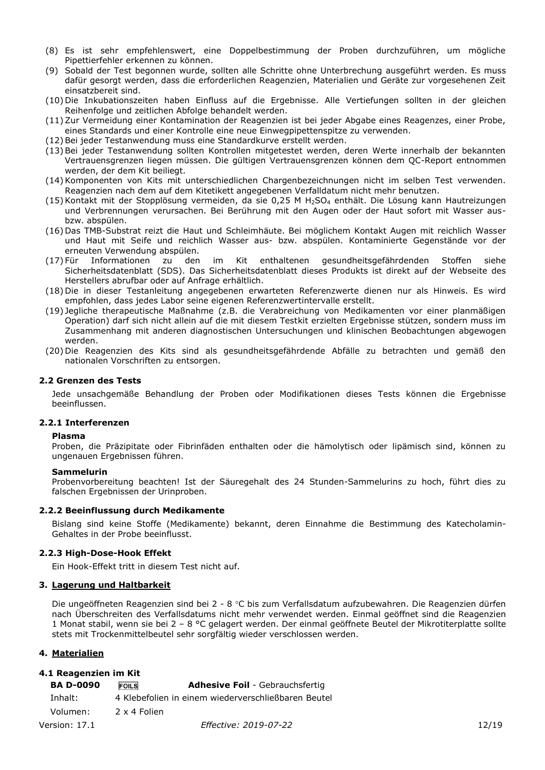- (8) Es ist sehr empfehlenswert, eine Doppelbestimmung der Proben durchzuführen, um mögliche Pipettierfehler erkennen zu können.
- (9) Sobald der Test begonnen wurde, sollten alle Schritte ohne Unterbrechung ausgeführt werden. Es muss dafür gesorgt werden, dass die erforderlichen Reagenzien, Materialien und Geräte zur vorgesehenen Zeit einsatzbereit sind.
- (10) Die Inkubationszeiten haben Einfluss auf die Ergebnisse. Alle Vertiefungen sollten in der gleichen Reihenfolge und zeitlichen Abfolge behandelt werden.
- (11) Zur Vermeidung einer Kontamination der Reagenzien ist bei jeder Abgabe eines Reagenzes, einer Probe, eines Standards und einer Kontrolle eine neue Einwegpipettenspitze zu verwenden.
- (12) Bei jeder Testanwendung muss eine Standardkurve erstellt werden.
- (13) Bei jeder Testanwendung sollten Kontrollen mitgetestet werden, deren Werte innerhalb der bekannten Vertrauensgrenzen liegen müssen. Die gültigen Vertrauensgrenzen können dem QC-Report entnommen werden, der dem Kit beiliegt.
- (14) Komponenten von Kits mit unterschiedlichen Chargenbezeichnungen nicht im selben Test verwenden. Reagenzien nach dem auf dem Kitetikett angegebenen Verfalldatum nicht mehr benutzen.
- (15) Kontakt mit der Stopplösung vermeiden, da sie 0,25 M H2SO<sup>4</sup> enthält. Die Lösung kann Hautreizungen und Verbrennungen verursachen. Bei Berührung mit den Augen oder der Haut sofort mit Wasser ausbzw. abspülen.
- (16) Das TMB-Substrat reizt die Haut und Schleimhäute. Bei möglichem Kontakt Augen mit reichlich Wasser und Haut mit Seife und reichlich Wasser aus- bzw. abspülen. Kontaminierte Gegenstände vor der erneuten Verwendung abspülen.
- (17) Für Informationen zu den im Kit enthaltenen gesundheitsgefährdenden Stoffen siehe Sicherheitsdatenblatt (SDS). Das Sicherheitsdatenblatt dieses Produkts ist direkt auf der Webseite des Herstellers abrufbar oder auf Anfrage erhältlich.
- (18) Die in dieser Testanleitung angegebenen erwarteten Referenzwerte dienen nur als Hinweis. Es wird empfohlen, dass jedes Labor seine eigenen Referenzwertintervalle erstellt.
- (19) Jegliche therapeutische Maßnahme (z.B. die Verabreichung von Medikamenten vor einer planmäßigen Operation) darf sich nicht allein auf die mit diesem Testkit erzielten Ergebnisse stützen, sondern muss im Zusammenhang mit anderen diagnostischen Untersuchungen und klinischen Beobachtungen abgewogen werden.
- (20) Die Reagenzien des Kits sind als gesundheitsgefährdende Abfälle zu betrachten und gemäß den nationalen Vorschriften zu entsorgen.

#### **2.2 Grenzen des Tests**

Jede unsachgemäße Behandlung der Proben oder Modifikationen dieses Tests können die Ergebnisse beeinflussen.

#### **2.2.1 Interferenzen**

#### **Plasma**

Proben, die Präzipitate oder Fibrinfäden enthalten oder die hämolytisch oder lipämisch sind, können zu ungenauen Ergebnissen führen.

#### **Sammelurin**

Probenvorbereitung beachten! Ist der Säuregehalt des 24 Stunden-Sammelurins zu hoch, führt dies zu falschen Ergebnissen der Urinproben.

#### **2.2.2 Beeinflussung durch Medikamente**

Bislang sind keine Stoffe (Medikamente) bekannt, deren Einnahme die Bestimmung des Katecholamin-Gehaltes in der Probe beeinflusst.

#### **2.2.3 High-Dose-Hook Effekt**

Ein Hook-Effekt tritt in diesem Test nicht auf.

#### **3. Lagerung und Haltbarkeit**

Die ungeöffneten Reagenzien sind bei 2 - 8 °C bis zum Verfallsdatum aufzubewahren. Die Reagenzien dürfen nach Überschreiten des Verfallsdatums nicht mehr verwendet werden. Einmal geöffnet sind die Reagenzien 1 Monat stabil, wenn sie bei 2 – 8 °C gelagert werden. Der einmal geöffnete Beutel der Mikrotiterplatte sollte stets mit Trockenmittelbeutel sehr sorgfältig wieder verschlossen werden.

#### **4. Materialien**

#### **4.1 Reagenzien im Kit**

| <b>BA D-0090</b> | <b>Adhesive Foil</b> - Gebrauchsfertig<br><b>FOILS</b> |       |
|------------------|--------------------------------------------------------|-------|
| Inhalt:          | 4 Klebefolien in einem wiederverschließbaren Beutel    |       |
| Volumen:         | 2 x 4 Folien                                           |       |
| Version: 17.1    | <i>Effective: 2019-07-22</i>                           | 12/19 |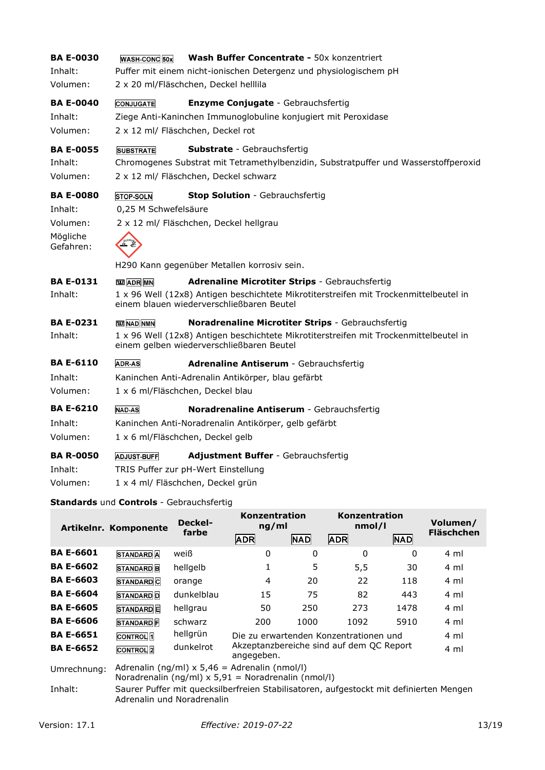| <b>BA E-0030</b><br>Inhalt:<br>Volumen: | WASH-CONC 50x        | Wash Buffer Concentrate - 50x konzentriert<br>Puffer mit einem nicht-ionischen Detergenz und physiologischem pH<br>2 x 20 ml/Fläschchen, Deckel helllila           |
|-----------------------------------------|----------------------|--------------------------------------------------------------------------------------------------------------------------------------------------------------------|
| <b>BA E-0040</b><br>Inhalt:<br>Volumen: | <b>CONJUGATE</b>     | <b>Enzyme Conjugate - Gebrauchsfertig</b><br>Ziege Anti-Kaninchen Immunoglobuline konjugiert mit Peroxidase<br>2 x 12 ml/ Fläschchen, Deckel rot                   |
| <b>BA E-0055</b><br>Inhalt:<br>Volumen: | <b>SUBSTRATE</b>     | <b>Substrate</b> - Gebrauchsfertig<br>Chromogenes Substrat mit Tetramethylbenzidin, Substratpuffer und Wasserstoffperoxid<br>2 x 12 ml/ Fläschchen, Deckel schwarz |
| <b>BA E-0080</b>                        | <b>STOP-SOLN</b>     | <b>Stop Solution</b> - Gebrauchsfertig                                                                                                                             |
| Inhalt:                                 | 0,25 M Schwefelsäure |                                                                                                                                                                    |
| Volumen:                                |                      | 2 x 12 ml/ Fläschchen, Deckel hellgrau                                                                                                                             |
| Mögliche<br>Gefahren:                   |                      |                                                                                                                                                                    |
|                                         |                      | H290 Kann gegenüber Metallen korrosiv sein.                                                                                                                        |
| <b>BA E-0131</b>                        | <b>TED</b> ADR MN    | <b>Adrenaline Microtiter Strips - Gebrauchsfertig</b>                                                                                                              |
| Inhalt:                                 |                      | 1 x 96 Well (12x8) Antigen beschichtete Mikrotiterstreifen mit Trockenmittelbeutel in<br>einem blauen wiederverschließbaren Beutel                                 |
| <b>BA E-0231</b>                        | <b>TE NAD NMN</b>    | Noradrenaline Microtiter Strips - Gebrauchsfertig                                                                                                                  |
| Inhalt:                                 |                      | 1 x 96 Well (12x8) Antigen beschichtete Mikrotiterstreifen mit Trockenmittelbeutel in<br>einem gelben wiederverschließbaren Beutel                                 |
| <b>BA E-6110</b>                        | <b>ADR-AS</b>        | Adrenaline Antiserum - Gebrauchsfertig                                                                                                                             |
| Inhalt:                                 |                      | Kaninchen Anti-Adrenalin Antikörper, blau gefärbt                                                                                                                  |
| Volumen:                                |                      | 1 x 6 ml/Fläschchen, Deckel blau                                                                                                                                   |
| <b>BA E-6210</b>                        | <b>NAD-AS</b>        | Noradrenaline Antiserum - Gebrauchsfertig                                                                                                                          |
| Inhalt:                                 |                      | Kaninchen Anti-Noradrenalin Antikörper, gelb gefärbt                                                                                                               |
| Volumen:                                |                      | 1 x 6 ml/Fläschchen, Deckel gelb                                                                                                                                   |
| <b>BA R-0050</b>                        | <b>ADJUST-BUFF</b>   | Adjustment Buffer - Gebrauchsfertig                                                                                                                                |
| Inhalt:                                 |                      | TRIS Puffer zur pH-Wert Einstellung                                                                                                                                |
| Volumen:                                |                      | 1 x 4 ml/ Fläschchen, Deckel grün                                                                                                                                  |
|                                         |                      |                                                                                                                                                                    |

### **Standards** und **Controls** - Gebrauchsfertig

|                  | Artikelnr. Komponente       | <b>Deckel-</b><br>farbe                                                                                  | Konzentration<br>ng/ml                                 |            | Konzentration<br>nmol/l                                                                |            | Volumen/<br><b>Fläschchen</b> |
|------------------|-----------------------------|----------------------------------------------------------------------------------------------------------|--------------------------------------------------------|------------|----------------------------------------------------------------------------------------|------------|-------------------------------|
|                  |                             |                                                                                                          | <b>ADR</b>                                             | <b>NAD</b> | <b>ADR</b>                                                                             | <b>NAD</b> |                               |
| <b>BA E-6601</b> | <b>STANDARD</b> A           | weiß                                                                                                     | 0                                                      | 0          | 0                                                                                      | $\Omega$   | 4 ml                          |
| <b>BA E-6602</b> | <b>STANDARD</b> B           | hellgelb                                                                                                 |                                                        | 5          | 5,5                                                                                    | 30         | 4 ml                          |
| <b>BA E-6603</b> | <b>STANDARD</b> C           | orange                                                                                                   | 4                                                      | 20         | 22                                                                                     | 118        | 4 ml                          |
| <b>BA E-6604</b> | <b>STANDARD D</b>           | dunkelblau                                                                                               | 15                                                     | 75         | 82                                                                                     | 443        | 4 ml                          |
| <b>BA E-6605</b> | <b>STANDARD</b> E           | hellgrau                                                                                                 | 50                                                     | 250        | 273                                                                                    | 1478       | 4 ml                          |
| <b>BA E-6606</b> | <b>STANDARD</b> F           | schwarz                                                                                                  | 200                                                    | 1000       | 1092                                                                                   | 5910       | 4 ml                          |
| <b>BA E-6651</b> | <b>CONTROL</b> <sub>1</sub> | hellgrün                                                                                                 |                                                        |            | Die zu erwartenden Konzentrationen und                                                 |            | 4 ml                          |
| <b>BA E-6652</b> | <b>CONTROL</b> 2            | dunkelrot                                                                                                | Akzeptanzbereiche sind auf dem QC Report<br>angegeben. |            |                                                                                        |            |                               |
| Umrechnung:      |                             | Adrenalin (ng/ml) $x 5,46 =$ Adrenalin (nmol/l)<br>Noradrenalin (ng/ml) $x 5.91$ = Noradrenalin (nmol/l) |                                                        |            |                                                                                        |            |                               |
| Inhalt:          |                             | Adrenalin und Noradrenalin                                                                               |                                                        |            | Saurer Puffer mit quecksilberfreien Stabilisatoren, aufgestockt mit definierten Mengen |            |                               |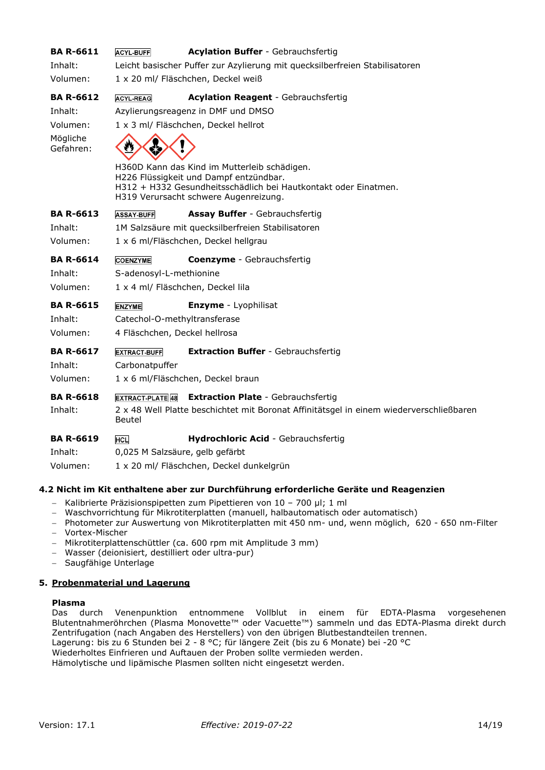| <b>BA R-6611</b>      | <b>ACYL-BUFF</b>                   | <b>Acylation Buffer - Gebrauchsfertig</b>                                                                 |  |  |  |  |  |
|-----------------------|------------------------------------|-----------------------------------------------------------------------------------------------------------|--|--|--|--|--|
| Inhalt:               |                                    | Leicht basischer Puffer zur Azylierung mit quecksilberfreien Stabilisatoren                               |  |  |  |  |  |
| Volumen:              |                                    | 1 x 20 ml/ Fläschchen, Deckel weiß                                                                        |  |  |  |  |  |
| <b>BA R-6612</b>      | <b>ACYL-REAG</b>                   | <b>Acylation Reagent - Gebrauchsfertig</b>                                                                |  |  |  |  |  |
| Inhalt:               | Azylierungsreagenz in DMF und DMSO |                                                                                                           |  |  |  |  |  |
| Volumen:              |                                    | 1 x 3 ml/ Fläschchen, Deckel hellrot                                                                      |  |  |  |  |  |
| Mögliche<br>Gefahren: |                                    |                                                                                                           |  |  |  |  |  |
|                       |                                    | H360D Kann das Kind im Mutterleib schädigen.                                                              |  |  |  |  |  |
|                       |                                    | H226 Flüssigkeit und Dampf entzündbar.<br>H312 + H332 Gesundheitsschädlich bei Hautkontakt oder Einatmen. |  |  |  |  |  |
|                       |                                    | H319 Verursacht schwere Augenreizung.                                                                     |  |  |  |  |  |
| <b>BA R-6613</b>      | <b>ASSAY-BUFF</b>                  | Assay Buffer - Gebrauchsfertig                                                                            |  |  |  |  |  |
| Inhalt:               |                                    | 1M Salzsäure mit quecksilberfreien Stabilisatoren                                                         |  |  |  |  |  |
| Volumen:              |                                    | 1 x 6 ml/Fläschchen, Deckel hellgrau                                                                      |  |  |  |  |  |
| <b>BA R-6614</b>      | <b>COENZYME</b>                    | <b>Coenzyme</b> - Gebrauchsfertig                                                                         |  |  |  |  |  |
| Inhalt:               | S-adenosyl-L-methionine            |                                                                                                           |  |  |  |  |  |
| Volumen:              | 1 x 4 ml/ Fläschchen, Deckel lila  |                                                                                                           |  |  |  |  |  |
| <b>BA R-6615</b>      | <b>ENZYME</b>                      | Enzyme - Lyophilisat                                                                                      |  |  |  |  |  |
| Inhalt:               | Catechol-O-methyltransferase       |                                                                                                           |  |  |  |  |  |
| Volumen:              | 4 Fläschchen, Deckel hellrosa      |                                                                                                           |  |  |  |  |  |
| <b>BA R-6617</b>      | <b>EXTRACT-BUFF</b>                | <b>Extraction Buffer - Gebrauchsfertig</b>                                                                |  |  |  |  |  |
| Inhalt:               | Carbonatpuffer                     |                                                                                                           |  |  |  |  |  |
| Volumen:              |                                    | 1 x 6 ml/Fläschchen, Deckel braun                                                                         |  |  |  |  |  |
| <b>BA R-6618</b>      | <b>EXTRACT-PLATE 48</b>            | <b>Extraction Plate - Gebrauchsfertig</b>                                                                 |  |  |  |  |  |
| Inhalt:               | Beutel                             | 2 x 48 Well Platte beschichtet mit Boronat Affinitätsgel in einem wiederverschließbaren                   |  |  |  |  |  |
| <b>BA R-6619</b>      | <b>HCL</b>                         | Hydrochloric Acid - Gebrauchsfertig                                                                       |  |  |  |  |  |
| Inhalt:               | 0,025 M Salzsäure, gelb gefärbt    |                                                                                                           |  |  |  |  |  |
| Volumen:              |                                    | 1 x 20 ml/ Fläschchen, Deckel dunkelgrün                                                                  |  |  |  |  |  |

#### **4.2 Nicht im Kit enthaltene aber zur Durchführung erforderliche Geräte und Reagenzien**

- − Kalibrierte Präzisionspipetten zum Pipettieren von 10 700 µl; 1 ml
- − Waschvorrichtung für Mikrotiterplatten (manuell, halbautomatisch oder automatisch)
- − Photometer zur Auswertung von Mikrotiterplatten mit 450 nm- und, wenn möglich, 620 650 nm-Filter
- − Vortex-Mischer
- − Mikrotiterplattenschüttler (ca. 600 rpm mit Amplitude 3 mm)
- − Wasser (deionisiert, destilliert oder ultra-pur)
- − Saugfähige Unterlage

#### **5. Probenmaterial und Lagerung**

#### **Plasma**

Das durch Venenpunktion entnommene Vollblut in einem für EDTA-Plasma vorgesehenen Blutentnahmeröhrchen (Plasma Monovette™ oder Vacuette™) sammeln und das EDTA-Plasma direkt durch Zentrifugation (nach Angaben des Herstellers) von den übrigen Blutbestandteilen trennen.

Lagerung: bis zu 6 Stunden bei 2 - 8 °C; für längere Zeit (bis zu 6 Monate) bei -20 °C

Wiederholtes Einfrieren und Auftauen der Proben sollte vermieden werden.

Hämolytische und lipämische Plasmen sollten nicht eingesetzt werden.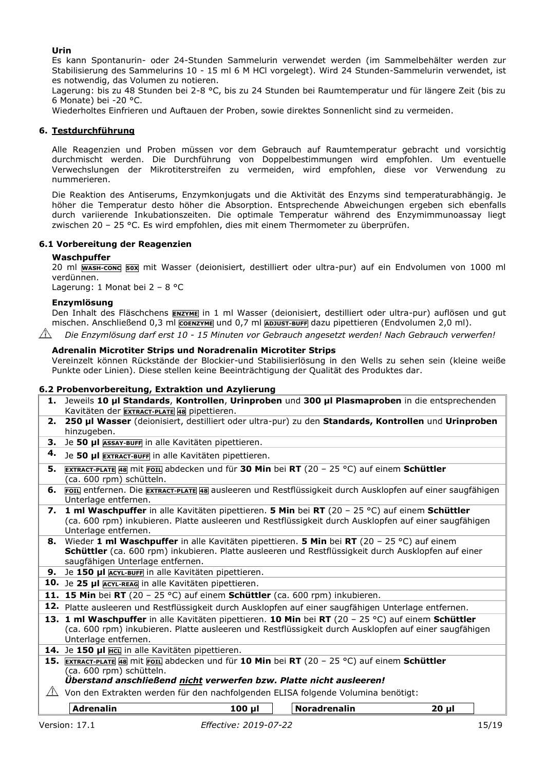#### **Urin**

Es kann Spontanurin- oder 24-Stunden Sammelurin verwendet werden (im Sammelbehälter werden zur Stabilisierung des Sammelurins 10 - 15 ml 6 M HCl vorgelegt). Wird 24 Stunden-Sammelurin verwendet, ist es notwendig, das Volumen zu notieren.

Lagerung: bis zu 48 Stunden bei 2-8 °C, bis zu 24 Stunden bei Raumtemperatur und für längere Zeit (bis zu 6 Monate) bei -20 °C.

Wiederholtes Einfrieren und Auftauen der Proben, sowie direktes Sonnenlicht sind zu vermeiden.

#### **6. Testdurchführung**

Alle Reagenzien und Proben müssen vor dem Gebrauch auf Raumtemperatur gebracht und vorsichtig durchmischt werden. Die Durchführung von Doppelbestimmungen wird empfohlen. Um eventuelle Verwechslungen der Mikrotiterstreifen zu vermeiden, wird empfohlen, diese vor Verwendung zu nummerieren.

Die Reaktion des Antiserums, Enzymkonjugats und die Aktivität des Enzyms sind temperaturabhängig. Je höher die Temperatur desto höher die Absorption. Entsprechende Abweichungen ergeben sich ebenfalls durch variierende Inkubationszeiten. Die optimale Temperatur während des Enzymimmunoassay liegt zwischen 20 – 25 °C. Es wird empfohlen, dies mit einem Thermometer zu überprüfen.

#### **6.1 Vorbereitung der Reagenzien**

#### **Waschpuffer**

20 ml **WASH-CONC 50X** mit Wasser (deionisiert, destilliert oder ultra-pur) auf ein Endvolumen von 1000 ml verdünnen.

Lagerung: 1 Monat bei 2 – 8 °C

#### **Enzymlösung**

Den Inhalt des Fläschchens **ENZYME** in 1 ml Wasser (deionisiert, destilliert oder ultra-pur) auflösen und gut mischen. Anschließend 0,3 ml **COENZYME** und 0,7 ml **ADJUST-BUFF** dazu pipettieren (Endvolumen 2,0 ml).

*Die Enzymlösung darf erst 10 - 15 Minuten vor Gebrauch angesetzt werden! Nach Gebrauch verwerfen!*

#### **Adrenalin Microtiter Strips und Noradrenalin Microtiter Strips**

Vereinzelt können Rückstände der Blockier-und Stabilisierlösung in den Wells zu sehen sein (kleine weiße Punkte oder Linien). Diese stellen keine Beeinträchtigung der Qualität des Produktes dar.

#### **6.2 Probenvorbereitung, Extraktion und Azylierung**

- **1.** Jeweils **10 µl Standards**, **Kontrollen**, **Urinproben** und **300 µl Plasmaproben** in die entsprechenden Kavitäten der **EXTRACT-PLATE <sup>48</sup>** pipettieren.
- **2. 250 µl Wasser** (deionisiert, destilliert oder ultra-pur) zu den **Standards, Kontrollen** und **Urinproben**  hinzugeben.
- **3.** Je **50 µl ASSAY-BUFF** in alle Kavitäten pipettieren.
- **4.** Je **50 µl EXTRACT-BUFF** in alle Kavitäten pipettieren.
- **5. EXTRACT-PLATE <sup>48</sup>** mit **FOIL** abdecken und für **30 Min** bei **RT** (20 25 °C) auf einem **Schüttler**  (ca. 600 rpm) schütteln.
- **6. FOIL** entfernen. Die **EXTRACT-PLATE <sup>48</sup>** ausleeren und Restflüssigkeit durch Ausklopfen auf einer saugfähigen Unterlage entfernen.
- **7. 1 ml Waschpuffer** in alle Kavitäten pipettieren. **5 Min** bei **RT** (20 25 °C) auf einem **Schüttler** (ca. 600 rpm) inkubieren. Platte ausleeren und Restflüssigkeit durch Ausklopfen auf einer saugfähigen Unterlage entfernen.
- **8.** Wieder **1 ml Waschpuffer** in alle Kavitäten pipettieren. **5 Min** bei **RT** (20 25 °C) auf einem **Schüttler** (ca. 600 rpm) inkubieren. Platte ausleeren und Restflüssigkeit durch Ausklopfen auf einer saugfähigen Unterlage entfernen.
- **9.** Je **150 µl ACYL-BUFF** in alle Kavitäten pipettieren.
- **10.** Je **25 µl ACYL-REAG** in alle Kavitäten pipettieren.
- **11. 15 Min** bei **RT** (20 25 °C) auf einem **Schüttler** (ca. 600 rpm) inkubieren.
- **12.** Platte ausleeren und Restflüssigkeit durch Ausklopfen auf einer saugfähigen Unterlage entfernen.
- **13. 1 ml Waschpuffer** in alle Kavitäten pipettieren. **10 Min** bei **RT** (20 25 °C) auf einem **Schüttler** (ca. 600 rpm) inkubieren. Platte ausleeren und Restflüssigkeit durch Ausklopfen auf einer saugfähigen Unterlage entfernen.
- **14.** Je **150 µl HCL** in alle Kavitäten pipettieren.
- **15. EXTRACT-PLATE <sup>48</sup>** mit **FOIL** abdecken und für **10 Min** bei **RT** (20 25 °C) auf einem **Schüttler**  (ca. 600 rpm) schütteln.

#### *Überstand anschließend nicht verwerfen bzw. Platte nicht ausleeren!*

 $\triangle$  Von den Extrakten werden für den nachfolgenden ELISA folgende Volumina benötigt:

**Adrenalin 100 µl Noradrenalin 20 µl**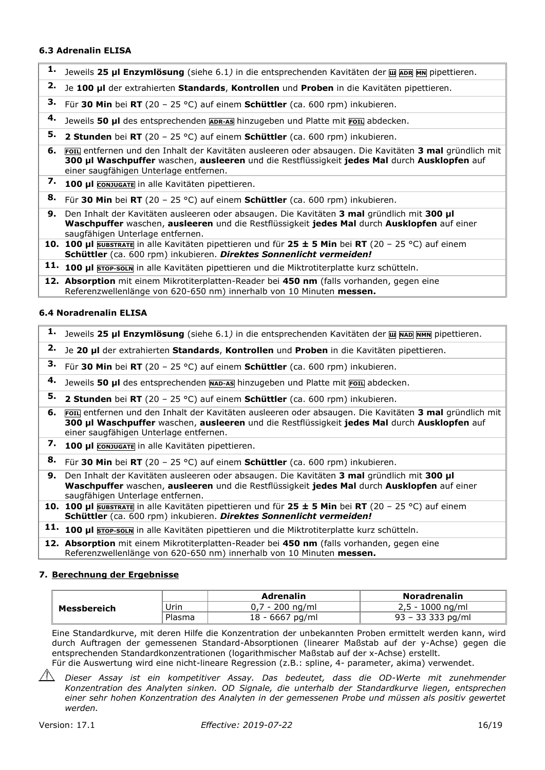#### **6.3 Adrenalin ELISA**

- **1.** Jeweils **25 µl Enzymlösung** (siehe 6.1*)* in die entsprechenden Kavitäten der **<sup>Ш</sup> ADR MN** pipettieren.
- **2.** Je **100 µl** der extrahierten **Standards**, **Kontrollen** und **Proben** in die Kavitäten pipettieren.
- **3.** Für **30 Min** bei **RT** (20 25 °C) auf einem **Schüttler** (ca. 600 rpm) inkubieren.
- **4.** Jeweils **50 µl** des entsprechenden **ADR-AS** hinzugeben und Platte mit **FOIL** abdecken.
- **5. 2 Stunden** bei **RT** (20 25 °C) auf einem **Schüttler** (ca. 600 rpm) inkubieren.
- **6. FOIL** entfernen und den Inhalt der Kavitäten ausleeren oder absaugen. Die Kavitäten **3 mal** gründlich mit **300 µl Waschpuffer** waschen, **ausleeren** und die Restflüssigkeit **jedes Mal** durch **Ausklopfen** auf einer saugfähigen Unterlage entfernen.
- **7. 100 µl CONJUGATE** in alle Kavitäten pipettieren.
- **8.** Für **30 Min** bei **RT** (20 25 °C) auf einem **Schüttler** (ca. 600 rpm) inkubieren.
- **9.** Den Inhalt der Kavitäten ausleeren oder absaugen. Die Kavitäten **3 mal** gründlich mit **300 µl Waschpuffer** waschen, **ausleeren** und die Restflüssigkeit **jedes Mal** durch **Ausklopfen** auf einer saugfähigen Unterlage entfernen.
- **10. 100 µl SUBSTRATE** in alle Kavitäten pipettieren und für **25 ± 5 Min** bei **RT** (20 25 °C) auf einem **Schüttler** (ca. 600 rpm) inkubieren. *Direktes Sonnenlicht vermeiden!*
- **11. 100 µl STOP-SOLN** in alle Kavitäten pipettieren und die Miktrotiterplatte kurz schütteln.
- **12. Absorption** mit einem Mikrotiterplatten-Reader bei **450 nm** (falls vorhanden, gegen eine Referenzwellenlänge von 620-650 nm) innerhalb von 10 Minuten **messen.**

#### **6.4 Noradrenalin ELISA**

|    | 1. Jeweils 25 µl Enzymlösung (siehe 6.1) in die entsprechenden Kavitäten der <b>Lu NAD NMN</b> pipettieren.                                                                                                                                         |
|----|-----------------------------------------------------------------------------------------------------------------------------------------------------------------------------------------------------------------------------------------------------|
| 2. | Je 20 µl der extrahierten Standards, Kontrollen und Proben in die Kavitäten pipettieren.                                                                                                                                                            |
| З. | Für 30 Min bei RT (20 - 25 °C) auf einem Schüttler (ca. 600 rpm) inkubieren.                                                                                                                                                                        |
| 4. | Jeweils 50 µl des entsprechenden MAD-AS hinzugeben und Platte mit FOIL abdecken.                                                                                                                                                                    |
| 5. | <b>2 Stunden</b> bei RT (20 - 25 °C) auf einem <b>Schüttler</b> (ca. 600 rpm) inkubieren.                                                                                                                                                           |
|    | 6. Foru entfernen und den Inhalt der Kavitäten ausleeren oder absaugen. Die Kavitäten 3 mal gründlich mit<br>300 µl Waschpuffer waschen, ausleeren und die Restflüssigkeit jedes Mal durch Ausklopfen auf<br>einer saugfähigen Unterlage entfernen. |
|    | 7. 100 µl conjugate in alle Kavitäten pipettieren.                                                                                                                                                                                                  |
| 8. | Für 30 Min bei RT (20 - 25 °C) auf einem Schüttler (ca. 600 rpm) inkubieren.                                                                                                                                                                        |
|    | 9. Den Inhalt der Kavitäten ausleeren oder absaugen. Die Kavitäten 3 mal gründlich mit 300 ul<br>Waschpuffer waschen, ausleeren und die Restflüssigkeit jedes Mal durch Ausklopfen auf einer<br>saugfähigen Unterlage entfernen.                    |
|    | 10. 100 µl SUBSTRATE in alle Kavitäten pipettieren und für 25 ± 5 Min bei RT (20 - 25 °C) auf einem<br>Schüttler (ca. 600 rpm) inkubieren. Direktes Sonnenlicht vermeiden!                                                                          |
|    | 11. 100 ul STOP-SOLN in alle Kavitäten pipettieren und die Miktrotiterplatte kurz schütteln.                                                                                                                                                        |
|    | 12. Absorption mit einem Mikrotiterplatten-Reader bei 450 nm (falls vorhanden, gegen eine                                                                                                                                                           |

# **7. Berechnung der Ergebnisse**

|             |        | Adrenalin         | <b>Noradrenalin</b> |
|-------------|--------|-------------------|---------------------|
| Messbereich | Urin   | 0.7 - 200 na/ml   | $2,5 - 1000$ ng/ml  |
|             | Plasma | $18 - 6667$ pg/ml | 93 – 33 333 pg/ml   |

Eine Standardkurve, mit deren Hilfe die Konzentration der unbekannten Proben ermittelt werden kann, wird durch Auftragen der gemessenen Standard-Absorptionen (linearer Maßstab auf der y-Achse) gegen die entsprechenden Standardkonzentrationen (logarithmischer Maßstab auf der x-Achse) erstellt. Für die Auswertung wird eine nicht-lineare Regression (z.B.: spline, 4- parameter, akima) verwendet.

*Dieser Assay ist ein kompetitiver Assay. Das bedeutet, dass die OD-Werte mit zunehmender Konzentration des Analyten sinken. OD Signale, die unterhalb der Standardkurve liegen, entsprechen einer sehr hohen Konzentration des Analyten in der gemessenen Probe und müssen als positiv gewertet werden.*

Referenzwellenlänge von 620-650 nm) innerhalb von 10 Minuten **messen.**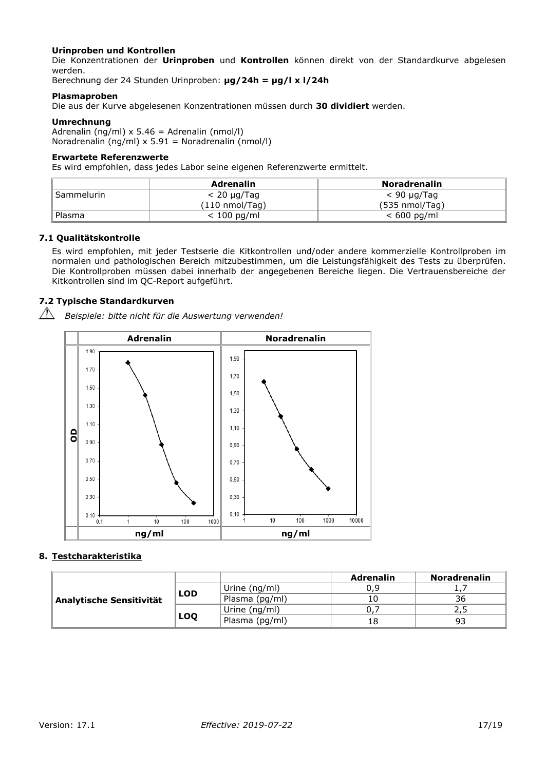#### **Urinproben und Kontrollen**

Die Konzentrationen der **Urinproben** und **Kontrollen** können direkt von der Standardkurve abgelesen werden.

Berechnung der 24 Stunden Urinproben: **µg/24h = µg/l x l/24h**

#### **Plasmaproben**

Die aus der Kurve abgelesenen Konzentrationen müssen durch **30 dividiert** werden.

#### **Umrechnung**

Adrenalin (ng/ml) x 5.46 = Adrenalin (nmol/l) Noradrenalin (ng/ml) x 5.91 = Noradrenalin (nmol/l)

#### **Erwartete Referenzwerte**

Es wird empfohlen, dass jedes Labor seine eigenen Referenzwerte ermittelt.

|            | Adrenalin                | <b>Noradrenalin</b>      |
|------------|--------------------------|--------------------------|
| Sammelurin | $< 20 \mu$ g/Tag         | $<$ 90 µg/Tag            |
|            | $(110 \text{ nmol/Taq})$ | $(535 \text{ nmol/Taq})$ |
| Plasma     | $< 100$ pg/ml            | $< 600$ pg/ml            |

#### **7.1 Qualitätskontrolle**

Es wird empfohlen, mit jeder Testserie die Kitkontrollen und/oder andere kommerzielle Kontrollproben im normalen und pathologischen Bereich mitzubestimmen, um die Leistungsfähigkeit des Tests zu überprüfen. Die Kontrollproben müssen dabei innerhalb der angegebenen Bereiche liegen. Die Vertrauensbereiche der Kitkontrollen sind im QC-Report aufgeführt.

#### **7.2 Typische Standardkurven**

*Beispiele: bitte nicht für die Auswertung verwenden!*



#### **8. Testcharakteristika**

|                          |            |                 | Adrenalin | <b>Noradrenalin</b> |
|--------------------------|------------|-----------------|-----------|---------------------|
| Analytische Sensitivität |            | Urine $(nq/ml)$ | 0.9       |                     |
|                          | <b>LOD</b> | Plasma (pg/ml)  |           | 36                  |
|                          | <b>LOQ</b> | Urine $(nq/ml)$ |           |                     |
|                          |            | Plasma (pg/ml)  |           | 93                  |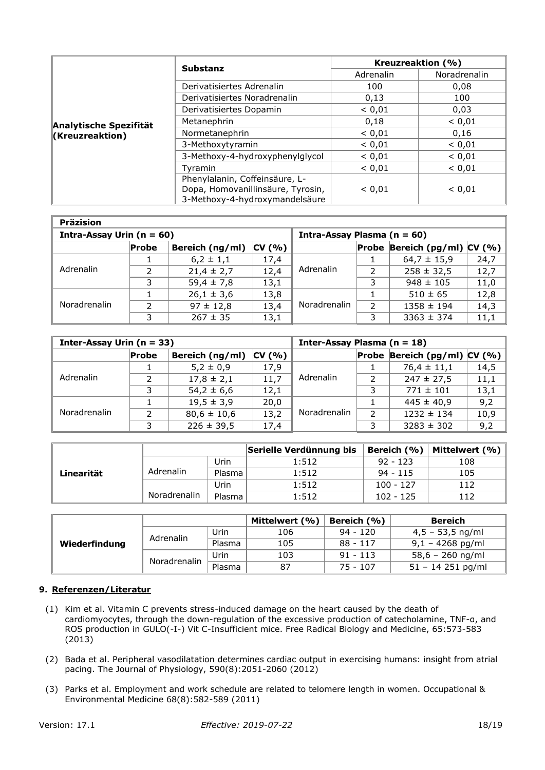|                        | <b>Substanz</b>                   |           | Kreuzreaktion (%) |  |
|------------------------|-----------------------------------|-----------|-------------------|--|
|                        |                                   | Adrenalin | Noradrenalin      |  |
|                        | Derivatisiertes Adrenalin         | 100       | 0,08              |  |
|                        | Derivatisiertes Noradrenalin      | 0,13      | 100               |  |
|                        | Derivatisiertes Dopamin           | < 0.01    | 0,03              |  |
| Analytische Spezifität | Metanephrin                       | 0,18      | < 0,01            |  |
| Kreuzreaktion)         | Normetanephrin                    | < 0.01    | 0,16              |  |
|                        | 3-Methoxytyramin                  | < 0.01    | < 0,01            |  |
|                        | 3-Methoxy-4-hydroxyphenylglycol   | < 0.01    | < 0,01            |  |
|                        | Tvramin                           | < 0.01    | < 0.01            |  |
|                        | Phenylalanin, Coffeinsäure, L-    |           |                   |  |
|                        | Dopa, Homovanillinsäure, Tyrosin, | < 0.01    | < 0.01            |  |
|                        | 3-Methoxy-4-hydroxymandelsäure    |           |                   |  |

| <b>Präzision</b>              |       |                 |        |                                 |   |                                |      |  |  |
|-------------------------------|-------|-----------------|--------|---------------------------------|---|--------------------------------|------|--|--|
| Intra-Assay Urin ( $n = 60$ ) |       |                 |        | Intra-Assay Plasma ( $n = 60$ ) |   |                                |      |  |  |
|                               | Probe | Bereich (ng/ml) | CV(% ) |                                 |   | Probe Bereich (pg/ml) $CV($ %) |      |  |  |
| Adrenalin                     |       | $6,2 \pm 1,1$   | 17,4   | Adrenalin                       |   | $64,7 \pm 15,9$                | 24,7 |  |  |
|                               |       | $21,4 \pm 2,7$  | 12,4   |                                 |   | $258 \pm 32,5$                 | 12,7 |  |  |
|                               | 3     | $59,4 \pm 7,8$  | 13,1   |                                 | 3 | $948 \pm 105$                  | 11,0 |  |  |
| Noradrenalin                  |       | $26,1 \pm 3,6$  | 13,8   |                                 |   | $510 \pm 65$                   | 12,8 |  |  |
|                               |       | $97 \pm 12,8$   | 13,4   | Noradrenalin                    |   | $1358 \pm 194$                 | 14,3 |  |  |
|                               | 3     | $267 \pm 35$    | 13,1   |                                 |   | $3363 \pm 374$                 | 11,1 |  |  |

| Inter-Assay Urin $(n = 33)$ |       |                 |        | Inter-Assay Plasma ( $n = 18$ ) |               |                                |      |
|-----------------------------|-------|-----------------|--------|---------------------------------|---------------|--------------------------------|------|
|                             | Probe | Bereich (ng/ml) | CV(% ) |                                 |               | Probe Bereich (pg/ml) $CV( %)$ |      |
| Adrenalin                   |       | $5,2 \pm 0,9$   | 17,9   |                                 |               | $76,4 \pm 11,1$                | 14,5 |
|                             |       | $17,8 \pm 2,1$  | 11,7   | Adrenalin                       |               | $247 \pm 27,5$                 | 11,1 |
|                             | 2     | $54,2 \pm 6,6$  | 12,1   |                                 |               | $771 \pm 101$                  | 13,1 |
| <b>Noradrenalin</b>         |       | $19,5 \pm 3,9$  | 20,0   |                                 |               | $445 \pm 40,9$                 | 9,2  |
|                             | ົ     | $80,6 \pm 10,6$ | 13,2   | Noradrenalin                    | $\mathcal{D}$ | $1232 \pm 134$                 | 10,9 |
|                             |       | $226 \pm 39,5$  | 17,4   |                                 |               | $3283 \pm 302$                 | 9,2  |

|            |              |        | Serielle Verdünnung bis | Bereich (%) | Mittelwert (%) |
|------------|--------------|--------|-------------------------|-------------|----------------|
|            |              | Urin   | 1:512                   | $92 - 123$  | 108            |
| Linearität | Adrenalin    | Plasma | 1:512                   | $94 - 115$  | 105            |
|            |              | Urin   | 1:512                   | $100 - 127$ | 112            |
|            | Noradrenalin | Plasma | 1:512                   | $102 - 125$ | 112            |

|               |              |        | Mittelwert (%) | Bereich (%) | <b>Bereich</b>      |
|---------------|--------------|--------|----------------|-------------|---------------------|
| Wiederfindung | Adrenalin    | Urin   | 106            | $94 - 120$  | $4,5 - 53,5$ ng/ml  |
|               |              | Plasma | 105            | $88 - 117$  | $9,1 - 4268$ pg/ml  |
|               | Noradrenalin | Urin   | 103            | $91 - 113$  | $58,6 - 260$ ng/ml  |
|               |              | Plasma | 87             | 75 - 107    | $51 - 14$ 251 pg/ml |

#### **9. Referenzen/Literatur**

- (1) Kim et al. Vitamin C prevents stress-induced damage on the heart caused by the death of cardiomyocytes, through the down-regulation of the excessive production of catecholamine, TNF-α, and ROS production in GULO(-I-) Vit C-Insufficient mice. Free Radical Biology and Medicine, 65:573-583 (2013)
- (2) Bada et al. Peripheral vasodilatation determines cardiac output in exercising humans: insight from atrial pacing. The Journal of Physiology, 590(8):2051-2060 (2012)
- (3) Parks et al. Employment and work schedule are related to telomere length in women. Occupational & Environmental Medicine 68(8):582-589 (2011)